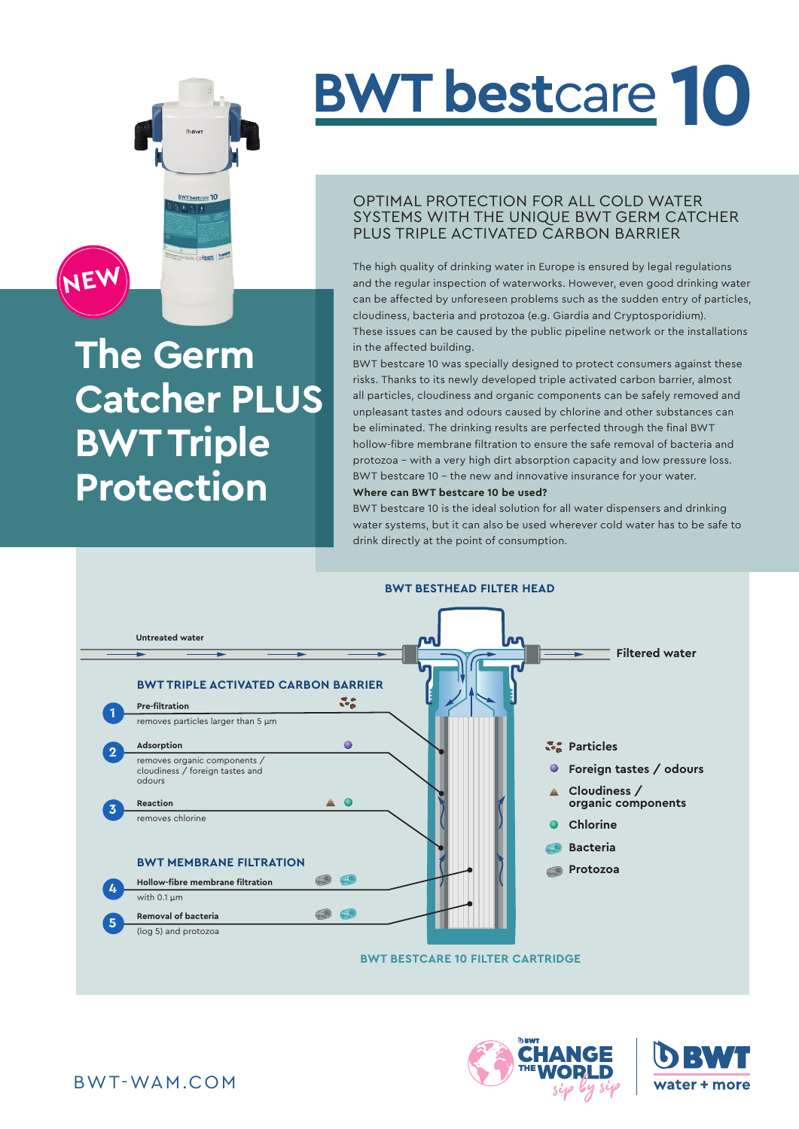

# **The Germ Catcher PLUS BWT Triple Protection**

# **BWT** bestcare **10**

### OPTIMAL PROTECTION FOR ALL COLD WATER SYSTEMS WITH THE UNIQUE BWT GERM CATCHER PLUS TRIPLE ACTIVATED CARBON BARRIER

The high quality of drinking water in Europe is ensured by legal regulations and the regular inspection of waterworks. However, even good drinking water can be affected by unforeseen problems such as the sudden entry of particles, cloudiness, bacteria and protozoa (e.g. Giardia and Cryptosporidium). These issues can be caused by the public pipeline network or the installations in the affected building.

BWT bestcare 10 was specially designed to protect consumers against these risks. Thanks to its newly developed triple activated carbon barrier, almost all particles, cloudiness and organic components can be safely removed and unpleasant tastes and odours caused by chlorine and other substances can be eliminated. The drinking results are perfected through the final BWT hollow-fibre membrane filtration to ensure the safe removal of bacteria and protozoa – with a very high dirt absorption capacity and low pressure loss. BWT bestcare 10 – the new and innovative insurance for your water. **Where can BWT bestcare 10 be used?**

#### BWT bestcare 10 is the ideal solution for all water dispensers and drinking water systems, but it can also be used wherever cold water has to be safe to drink directly at the point of consumption.



![](_page_0_Picture_8.jpeg)

![](_page_0_Picture_9.jpeg)